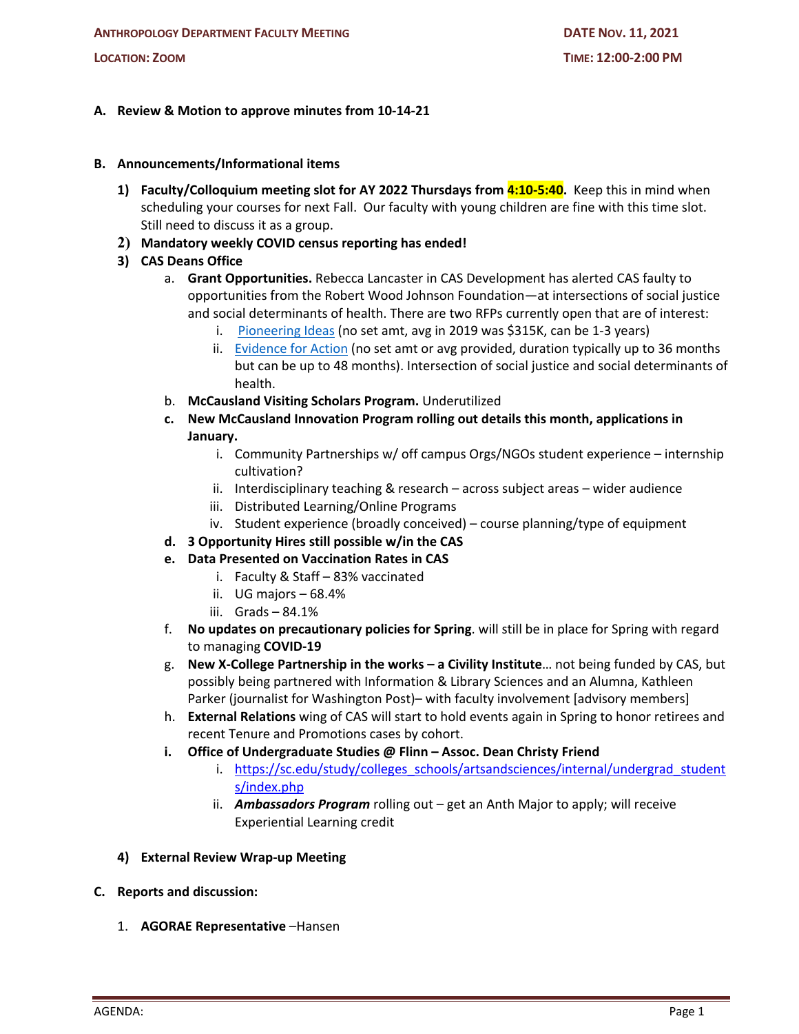## **A. Review & Motion to approve minutes from 10-14-21**

- **B. Announcements/Informational items**
	- **1) Faculty/Colloquium meeting slot for AY 2022 Thursdays from 4:10-5:40.** Keep this in mind when scheduling your courses for next Fall. Our faculty with young children are fine with this time slot. Still need to discuss it as a group.
	- **2) Mandatory weekly COVID census reporting has ended!**

## **3) CAS Deans Office**

- a. **Grant Opportunities.** Rebecca Lancaster in CAS Development has alerted CAS faulty to opportunities from the Robert Wood Johnson Foundation—at intersections of social justice and social determinants of health. There are two RFPs currently open that are of interest:
	- i. Pioneering Ideas (no set amt, avg in 2019 was \$315K, can be 1-3 years)
	- ii. **Evidence for Action** (no set amt or avg provided, duration typically up to 36 months but can be up to 48 months). Intersection of social justice and social determinants of health.
- b. **McCausland Visiting Scholars Program.** Underutilized
- **c. New McCausland Innovation Program rolling out details this month, applications in January.**
	- i. Community Partnerships w/ off campus Orgs/NGOs student experience internship cultivation?
	- ii. Interdisciplinary teaching & research across subject areas wider audience
	- iii. Distributed Learning/Online Programs
	- iv. Student experience (broadly conceived) course planning/type of equipment
- **d. 3 Opportunity Hires still possible w/in the CAS**
- **e. Data Presented on Vaccination Rates in CAS**
	- i. Faculty & Staff 83% vaccinated
	- ii. UG majors 68.4%
	- iii. Grads 84.1%
- f. **No updates on precautionary policies for Spring**. will still be in place for Spring with regard to managing **COVID-19**
- g. **New X-College Partnership in the works – a Civility Institute**… not being funded by CAS, but possibly being partnered with Information & Library Sciences and an Alumna, Kathleen Parker (journalist for Washington Post)– with faculty involvement [advisory members]
- h. **External Relations** wing of CAS will start to hold events again in Spring to honor retirees and recent Tenure and Promotions cases by cohort.
- **i. Office of Undergraduate Studies @ Flinn – Assoc. Dean Christy Friend**
	- i. https://sc.edu/study/colleges\_schools/artsandsciences/internal/undergrad\_student s/index.php
	- ii. *Ambassadors Program* rolling out get an Anth Major to apply; will receive Experiential Learning credit
- **4) External Review Wrap-up Meeting**
- **C. Reports and discussion:**
	- 1. **AGORAE Representative** –Hansen